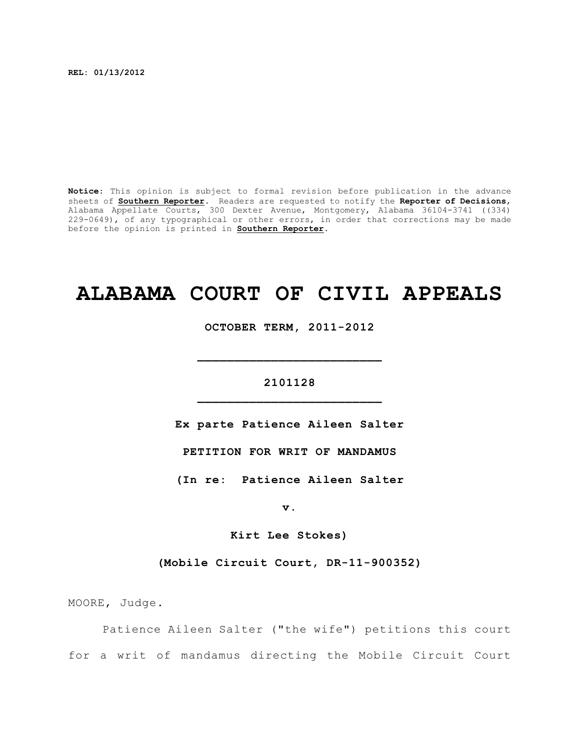**REL: 01/13/2012**

**Notice**: This opinion is subject to formal revision before publication in the advance sheets of **Southern Reporter**. Readers are requested to notify the **Reporter of Decisions**, Alabama Appellate Courts, 300 Dexter Avenue, Montgomery, Alabama 36104-3741 ((334) 229-0649), of any typographical or other errors, in order that corrections may be made before the opinion is printed in **Southern Reporter**.

# **ALABAMA COURT OF CIVIL APPEALS**

**OCTOBER TERM, 2011-2012**

**\_\_\_\_\_\_\_\_\_\_\_\_\_\_\_\_\_\_\_\_\_\_\_\_\_**

# **2101128 \_\_\_\_\_\_\_\_\_\_\_\_\_\_\_\_\_\_\_\_\_\_\_\_\_**

**Ex parte Patience Aileen Salter**

**PETITION FOR WRIT OF MANDAMUS**

**(In re: Patience Aileen Salter**

**v.**

**Kirt Lee Stokes)**

**(Mobile Circuit Court, DR-11-900352)**

MOORE, Judge.

Patience Aileen Salter ("the wife") petitions this court for a writ of mandamus directing the Mobile Circuit Court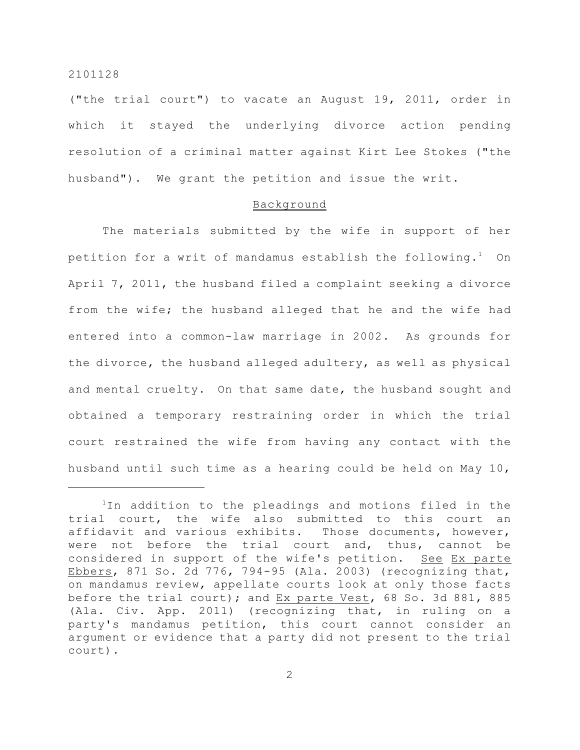("the trial court") to vacate an August 19, 2011, order in which it stayed the underlying divorce action pending resolution of a criminal matter against Kirt Lee Stokes ("the husband"). We grant the petition and issue the writ.

#### Background

The materials submitted by the wife in support of her petition for a writ of mandamus establish the following.<sup>1</sup> On April 7, 2011, the husband filed a complaint seeking a divorce from the wife; the husband alleged that he and the wife had entered into a common-law marriage in 2002. As grounds for the divorce, the husband alleged adultery, as well as physical and mental cruelty. On that same date, the husband sought and obtained a temporary restraining order in which the trial court restrained the wife from having any contact with the husband until such time as a hearing could be held on May 10,

 $1$ In addition to the pleadings and motions filed in the trial court, the wife also submitted to this court an affidavit and various exhibits. Those documents, however, were not before the trial court and, thus, cannot be considered in support of the wife's petition. See Ex parte Ebbers, 871 So. 2d 776, 794-95 (Ala. 2003) (recognizing that, on mandamus review, appellate courts look at only those facts before the trial court); and Ex parte Vest, 68 So. 3d 881, 885 (Ala. Civ. App. 2011) (recognizing that, in ruling on a party's mandamus petition, this court cannot consider an argument or evidence that a party did not present to the trial court).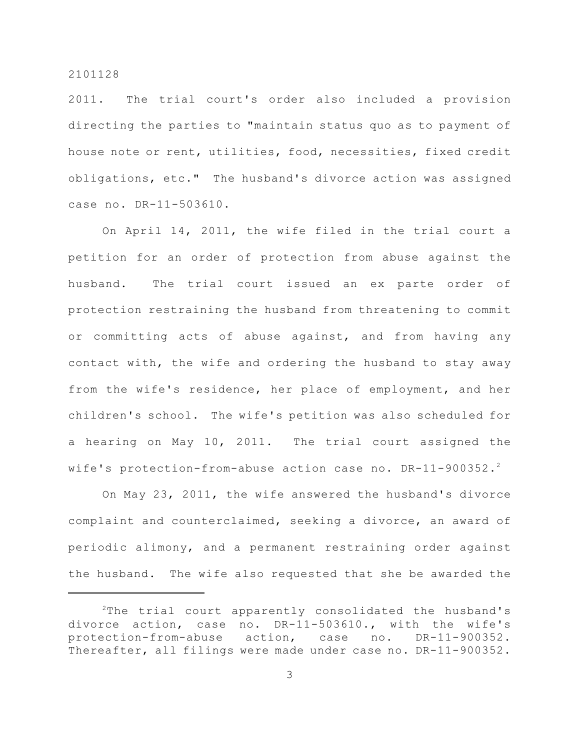2011. The trial court's order also included a provision directing the parties to "maintain status quo as to payment of house note or rent, utilities, food, necessities, fixed credit obligations, etc." The husband's divorce action was assigned case no. DR-11-503610.

On April 14, 2011, the wife filed in the trial court a petition for an order of protection from abuse against the husband. The trial court issued an ex parte order of protection restraining the husband from threatening to commit or committing acts of abuse against, and from having any contact with, the wife and ordering the husband to stay away from the wife's residence, her place of employment, and her children's school. The wife's petition was also scheduled for a hearing on May 10, 2011. The trial court assigned the wife's protection-from-abuse action case no. DR-11-900352.<sup>2</sup>

On May 23, 2011, the wife answered the husband's divorce complaint and counterclaimed, seeking a divorce, an award of periodic alimony, and a permanent restraining order against the husband. The wife also requested that she be awarded the

 $2$ The trial court apparently consolidated the husband's divorce action, case no. DR-11-503610., with the wife's protection-from-abuse action, case no. DR-11-900352. Thereafter, all filings were made under case no. DR-11-900352.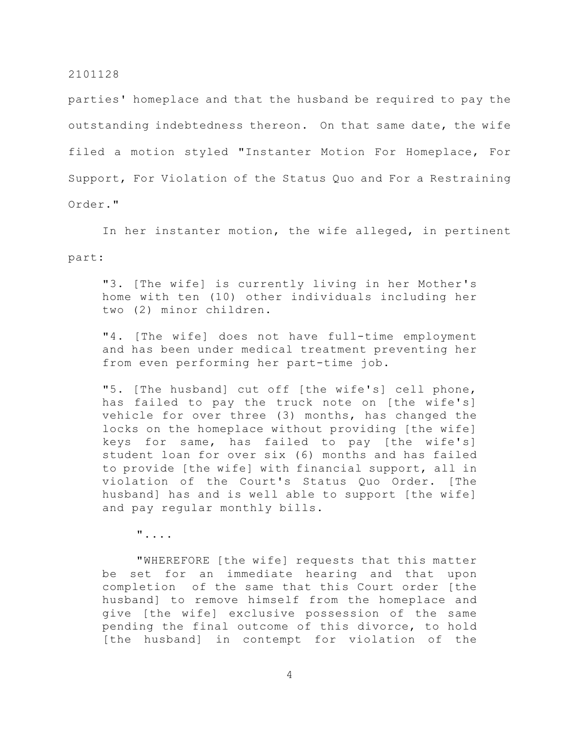parties' homeplace and that the husband be required to pay the outstanding indebtedness thereon. On that same date, the wife filed a motion styled "Instanter Motion For Homeplace, For Support, For Violation of the Status Quo and For a Restraining Order."

In her instanter motion, the wife alleged, in pertinent part:

"3. [The wife] is currently living in her Mother's home with ten (10) other individuals including her two (2) minor children.

"4. [The wife] does not have full-time employment and has been under medical treatment preventing her from even performing her part-time job.

"5. [The husband] cut off [the wife's] cell phone, has failed to pay the truck note on [the wife's] vehicle for over three (3) months, has changed the locks on the homeplace without providing [the wife] keys for same, has failed to pay [the wife's] student loan for over six (6) months and has failed to provide [the wife] with financial support, all in violation of the Court's Status Quo Order. [The husband] has and is well able to support [the wife] and pay regular monthly bills.

"....

"WHEREFORE [the wife] requests that this matter be set for an immediate hearing and that upon completion of the same that this Court order [the husband] to remove himself from the homeplace and give [the wife] exclusive possession of the same pending the final outcome of this divorce, to hold [the husband] in contempt for violation of the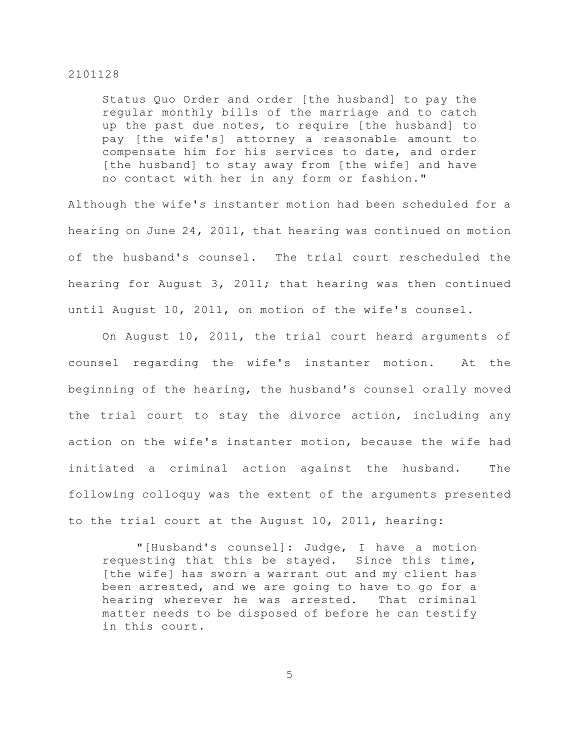Status Quo Order and order [the husband] to pay the regular monthly bills of the marriage and to catch up the past due notes, to require [the husband] to pay [the wife's] attorney a reasonable amount to compensate him for his services to date, and order [the husband] to stay away from [the wife] and have no contact with her in any form or fashion."

Although the wife's instanter motion had been scheduled for a hearing on June 24, 2011, that hearing was continued on motion of the husband's counsel. The trial court rescheduled the hearing for August 3, 2011; that hearing was then continued until August 10, 2011, on motion of the wife's counsel.

On August 10, 2011, the trial court heard arguments of counsel regarding the wife's instanter motion. At the beginning of the hearing, the husband's counsel orally moved the trial court to stay the divorce action, including any action on the wife's instanter motion, because the wife had initiated a criminal action against the husband. The following colloquy was the extent of the arguments presented to the trial court at the August 10, 2011, hearing:

"[Husband's counsel]: Judge, I have a motion requesting that this be stayed. Since this time, [the wife] has sworn a warrant out and my client has been arrested, and we are going to have to go for a hearing wherever he was arrested. That criminal matter needs to be disposed of before he can testify in this court.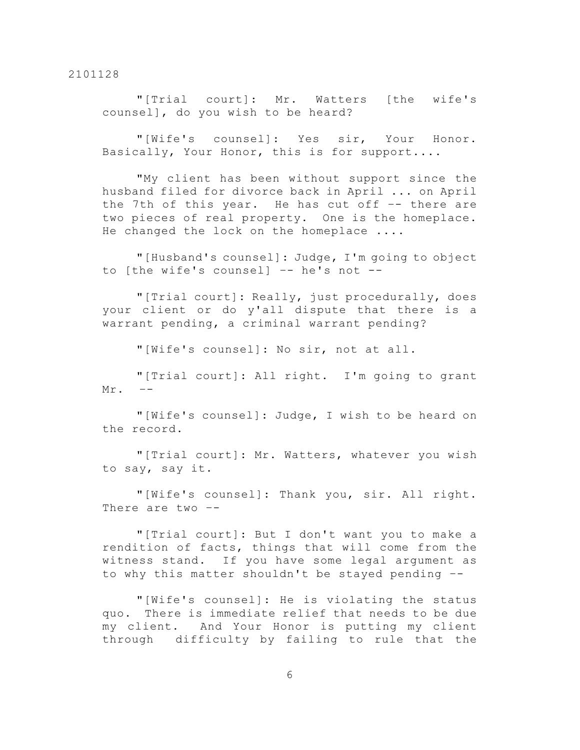"[Trial court]: Mr. Watters [the wife's counsel], do you wish to be heard?

"[Wife's counsel]: Yes sir, Your Honor. Basically, Your Honor, this is for support....

"My client has been without support since the husband filed for divorce back in April ... on April the 7th of this year. He has cut off –- there are two pieces of real property. One is the homeplace. He changed the lock on the homeplace ....

"[Husband's counsel]: Judge, I'm going to object to [the wife's counsel] –- he's not --

"[Trial court]: Really, just procedurally, does your client or do y'all dispute that there is a warrant pending, a criminal warrant pending?

"[Wife's counsel]: No sir, not at all.

"[Trial court]: All right. I'm going to grant Mr.

"[Wife's counsel]: Judge, I wish to be heard on the record.

"[Trial court]: Mr. Watters, whatever you wish to say, say it.

"[Wife's counsel]: Thank you, sir. All right. There are two –-

"[Trial court]: But I don't want you to make a rendition of facts, things that will come from the witness stand. If you have some legal argument as to why this matter shouldn't be stayed pending –-

"[Wife's counsel]: He is violating the status quo. There is immediate relief that needs to be due my client. And Your Honor is putting my client through difficulty by failing to rule that the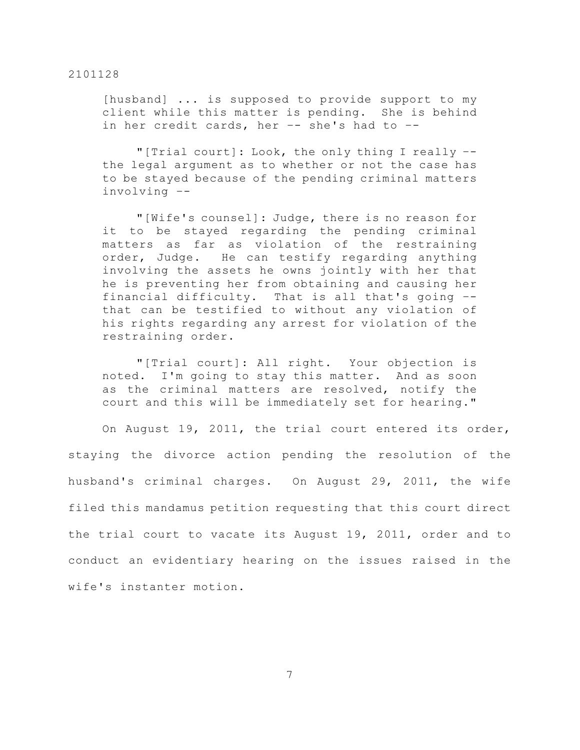[husband] ... is supposed to provide support to my client while this matter is pending. She is behind in her credit cards, her  $-$ - she's had to  $-$ -

"[Trial court]: Look, the only thing I really – the legal argument as to whether or not the case has to be stayed because of the pending criminal matters involving –-

"[Wife's counsel]: Judge, there is no reason for it to be stayed regarding the pending criminal matters as far as violation of the restraining order, Judge. He can testify regarding anything involving the assets he owns jointly with her that he is preventing her from obtaining and causing her financial difficulty. That is all that's going – that can be testified to without any violation of his rights regarding any arrest for violation of the restraining order.

"[Trial court]: All right. Your objection is noted. I'm going to stay this matter. And as soon as the criminal matters are resolved, notify the court and this will be immediately set for hearing."

On August 19, 2011, the trial court entered its order, staying the divorce action pending the resolution of the husband's criminal charges. On August 29, 2011, the wife filed this mandamus petition requesting that this court direct the trial court to vacate its August 19, 2011, order and to conduct an evidentiary hearing on the issues raised in the wife's instanter motion.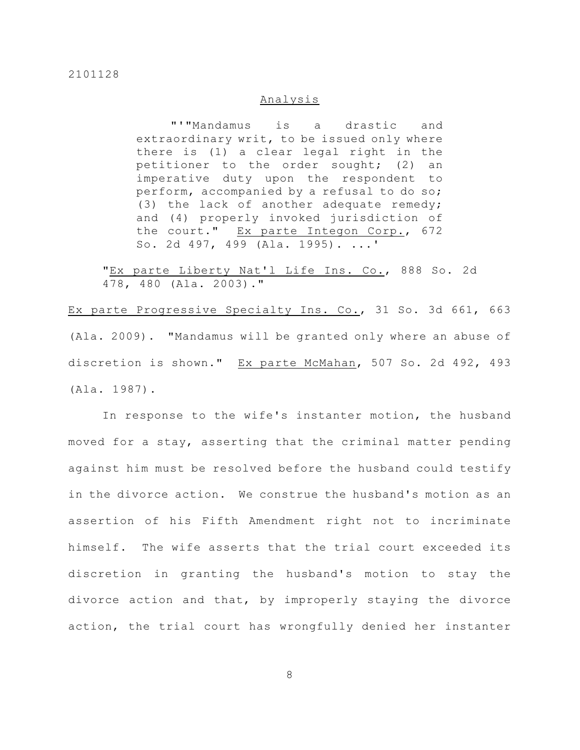# Analysis

"'"Mandamus is a drastic and extraordinary writ, to be issued only where there is (1) a clear legal right in the petitioner to the order sought; (2) an imperative duty upon the respondent to perform, accompanied by a refusal to do so; (3) the lack of another adequate remedy; and (4) properly invoked jurisdiction of the court." Ex parte Integon Corp., 672 So. 2d 497, 499 (Ala. 1995). ...'

"Ex parte Liberty Nat'l Life Ins. Co., 888 So. 2d 478, 480 (Ala. 2003)."

Ex parte Progressive Specialty Ins. Co., 31 So. 3d 661, 663 (Ala. 2009). "Mandamus will be granted only where an abuse of discretion is shown." Ex parte McMahan, 507 So. 2d 492, 493 (Ala. 1987).

In response to the wife's instanter motion, the husband moved for a stay, asserting that the criminal matter pending against him must be resolved before the husband could testify in the divorce action. We construe the husband's motion as an assertion of his Fifth Amendment right not to incriminate himself. The wife asserts that the trial court exceeded its discretion in granting the husband's motion to stay the divorce action and that, by improperly staying the divorce action, the trial court has wrongfully denied her instanter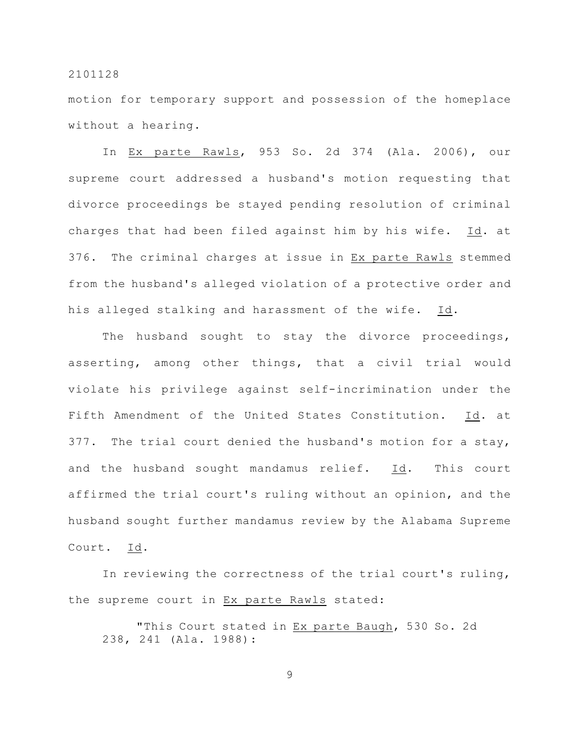motion for temporary support and possession of the homeplace without a hearing.

In Ex parte Rawls, 953 So. 2d 374 (Ala. 2006), our supreme court addressed a husband's motion requesting that divorce proceedings be stayed pending resolution of criminal charges that had been filed against him by his wife. Id. at 376. The criminal charges at issue in Ex parte Rawls stemmed from the husband's alleged violation of a protective order and his alleged stalking and harassment of the wife. Id.

The husband sought to stay the divorce proceedings, asserting, among other things, that a civil trial would violate his privilege against self-incrimination under the Fifth Amendment of the United States Constitution. Id. at 377. The trial court denied the husband's motion for a stay, and the husband sought mandamus relief. Id. This court affirmed the trial court's ruling without an opinion, and the husband sought further mandamus review by the Alabama Supreme Court. Id.

In reviewing the correctness of the trial court's ruling, the supreme court in Ex parte Rawls stated:

"This Court stated in Ex parte Baugh, 530 So. 2d 238, 241 (Ala. 1988):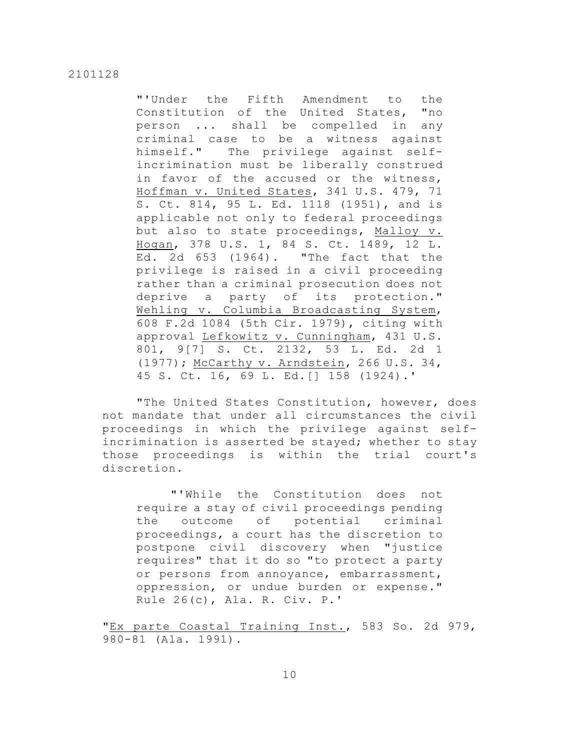"'Under the Fifth Amendment to the Constitution of the United States, "no person ... shall be compelled in any criminal case to be a witness against himself." The privilege against selfincrimination must be liberally construed in favor of the accused or the witness, Hoffman v. United States, 341 U.S. 479, 71 S. Ct. 814, 95 L. Ed. 1118 (1951), and is applicable not only to federal proceedings but also to state proceedings, Malloy v. Hogan, 378 U.S. 1, 84 S. Ct. 1489, 12 L. Ed. 2d 653 (1964). "The fact that the privilege is raised in a civil proceeding rather than a criminal prosecution does not deprive a party of its protection." Wehling v. Columbia Broadcasting System, 608 F.2d 1084 (5th Cir. 1979), citing with approval Lefkowitz v. Cunningham, 431 U.S. 801, 9[7] S. Ct. 2132, 53 L. Ed. 2d 1 (1977); McCarthy v. Arndstein, 266 U.S. 34, 45 S. Ct. 16, 69 L. Ed.[] 158 (1924).'

"The United States Constitution, however, does not mandate that under all circumstances the civil proceedings in which the privilege against selfincrimination is asserted be stayed; whether to stay those proceedings is within the trial court's discretion.

"'While the Constitution does not require a stay of civil proceedings pending the outcome of potential criminal proceedings, a court has the discretion to postpone civil discovery when "justice requires" that it do so "to protect a party or persons from annoyance, embarrassment, oppression, or undue burden or expense." Rule 26(c), Ala. R. Civ. P.'

"Ex parte Coastal Training Inst., 583 So. 2d 979, 980-81 (Ala. 1991).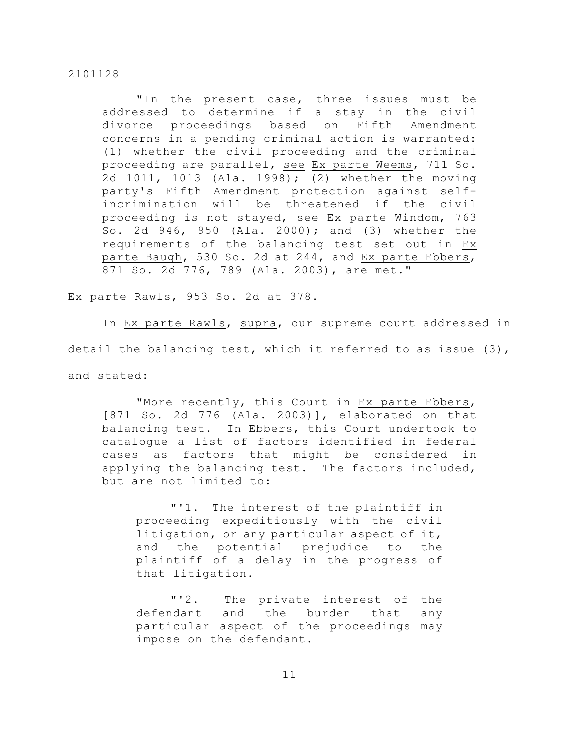"In the present case, three issues must be addressed to determine if a stay in the civil divorce proceedings based on Fifth Amendment concerns in a pending criminal action is warranted: (1) whether the civil proceeding and the criminal proceeding are parallel, see Ex parte Weems, 711 So. 2d 1011, 1013 (Ala. 1998); (2) whether the moving party's Fifth Amendment protection against selfincrimination will be threatened if the civil proceeding is not stayed, see Ex parte Windom, 763 So. 2d 946, 950 (Ala. 2000); and (3) whether the requirements of the balancing test set out in Ex parte Baugh, 530 So. 2d at 244, and Ex parte Ebbers, 871 So. 2d 776, 789 (Ala. 2003), are met."

Ex parte Rawls, 953 So. 2d at 378.

In Ex parte Rawls, supra, our supreme court addressed in detail the balancing test, which it referred to as issue (3), and stated:

"More recently, this Court in Ex parte Ebbers, [871 So. 2d 776 (Ala. 2003)], elaborated on that balancing test. In Ebbers, this Court undertook to catalogue a list of factors identified in federal cases as factors that might be considered in applying the balancing test. The factors included, but are not limited to:

"'1. The interest of the plaintiff in proceeding expeditiously with the civil litigation, or any particular aspect of it, and the potential prejudice to the plaintiff of a delay in the progress of that litigation.

"'2. The private interest of the defendant and the burden that any particular aspect of the proceedings may impose on the defendant.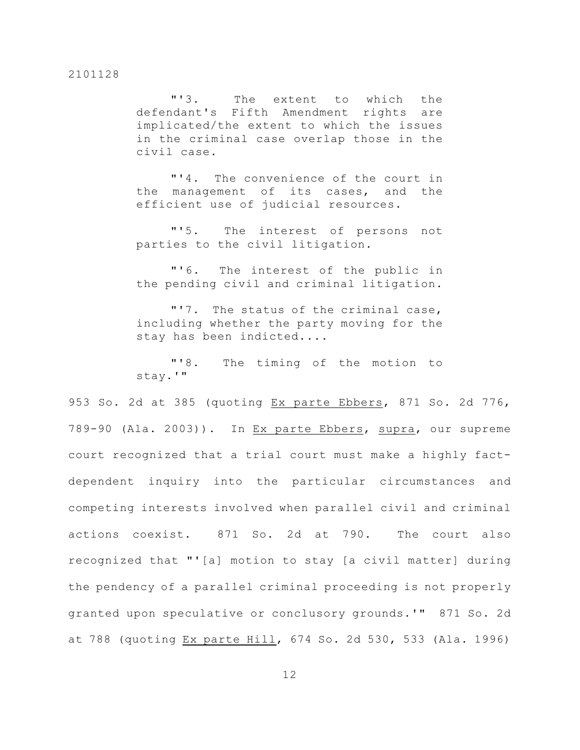"'3. The extent to which the defendant's Fifth Amendment rights are implicated/the extent to which the issues in the criminal case overlap those in the civil case.

"'4. The convenience of the court in the management of its cases, and the efficient use of judicial resources.

"'5. The interest of persons not parties to the civil litigation.

"'6. The interest of the public in the pending civil and criminal litigation.

"'7. The status of the criminal case, including whether the party moving for the stay has been indicted....

"'8. The timing of the motion to stay.'"

953 So. 2d at 385 (quoting Ex parte Ebbers, 871 So. 2d 776, 789-90 (Ala. 2003)). In Ex parte Ebbers, supra, our supreme court recognized that a trial court must make a highly factdependent inquiry into the particular circumstances and competing interests involved when parallel civil and criminal actions coexist. 871 So. 2d at 790. The court also recognized that "'[a] motion to stay [a civil matter] during the pendency of a parallel criminal proceeding is not properly granted upon speculative or conclusory grounds.'" 871 So. 2d at 788 (quoting Ex parte Hill, 674 So. 2d 530, 533 (Ala. 1996)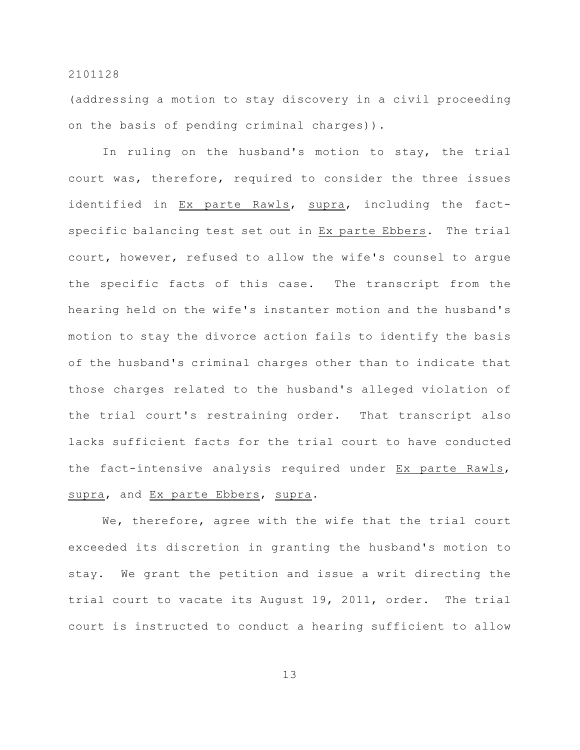(addressing a motion to stay discovery in a civil proceeding on the basis of pending criminal charges)).

In ruling on the husband's motion to stay, the trial court was, therefore, required to consider the three issues identified in Ex parte Rawls, supra, including the factspecific balancing test set out in Ex parte Ebbers. The trial court, however, refused to allow the wife's counsel to argue the specific facts of this case. The transcript from the hearing held on the wife's instanter motion and the husband's motion to stay the divorce action fails to identify the basis of the husband's criminal charges other than to indicate that those charges related to the husband's alleged violation of the trial court's restraining order. That transcript also lacks sufficient facts for the trial court to have conducted the fact-intensive analysis required under Ex parte Rawls, supra, and Ex parte Ebbers, supra.

We, therefore, agree with the wife that the trial court exceeded its discretion in granting the husband's motion to stay. We grant the petition and issue a writ directing the trial court to vacate its August 19, 2011, order. The trial court is instructed to conduct a hearing sufficient to allow